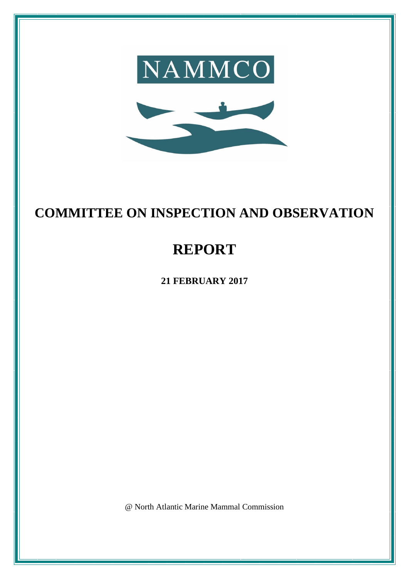

# **COMMITTEE ON INSPECTION AND OBSERVATION**

# **REPORT**

**21 FEBRUARY 2017**

@ North Atlantic Marine Mammal Commission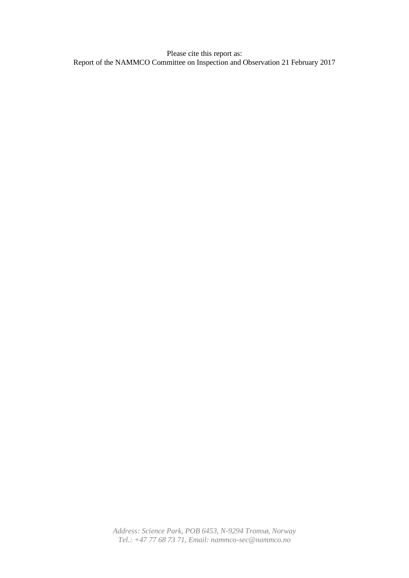Please cite this report as: Report of the NAMMCO Committee on Inspection and Observation 21 February 2017

> *Address: Science Park, POB 6453, N-9294 Tromsø, Norway Tel.: +47 77 68 73 71, Email: nammco-sec@nammco.no*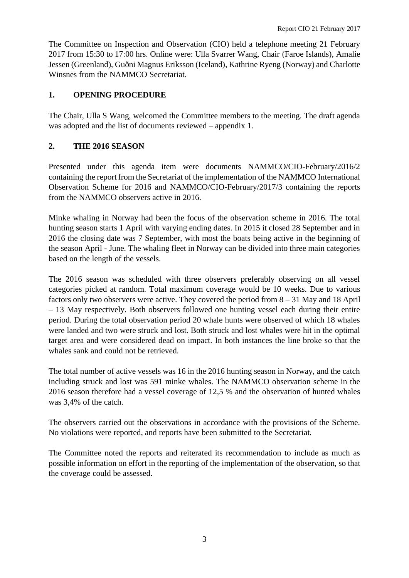The Committee on Inspection and Observation (CIO) held a telephone meeting 21 February 2017 from 15:30 to 17:00 hrs. Online were: Ulla Svarrer Wang, Chair (Faroe Islands), Amalie Jessen (Greenland), Guðni Magnus Eriksson (Iceland), Kathrine Ryeng (Norway) and Charlotte Winsnes from the NAMMCO Secretariat.

# **1. OPENING PROCEDURE**

The Chair, Ulla S Wang, welcomed the Committee members to the meeting. The draft agenda was adopted and the list of documents reviewed – appendix 1.

# **2. THE 2016 SEASON**

Presented under this agenda item were documents NAMMCO/CIO-February/2016/2 containing the report from the Secretariat of the implementation of the NAMMCO International Observation Scheme for 2016 and NAMMCO/CIO-February/2017/3 containing the reports from the NAMMCO observers active in 2016.

Minke whaling in Norway had been the focus of the observation scheme in 2016. The total hunting season starts 1 April with varying ending dates. In 2015 it closed 28 September and in 2016 the closing date was 7 September, with most the boats being active in the beginning of the season April - June. The whaling fleet in Norway can be divided into three main categories based on the length of the vessels.

The 2016 season was scheduled with three observers preferably observing on all vessel categories picked at random. Total maximum coverage would be 10 weeks. Due to various factors only two observers were active. They covered the period from 8 – 31 May and 18 April – 13 May respectively. Both observers followed one hunting vessel each during their entire period. During the total observation period 20 whale hunts were observed of which 18 whales were landed and two were struck and lost. Both struck and lost whales were hit in the optimal target area and were considered dead on impact. In both instances the line broke so that the whales sank and could not be retrieved.

The total number of active vessels was 16 in the 2016 hunting season in Norway, and the catch including struck and lost was 591 minke whales. The NAMMCO observation scheme in the 2016 season therefore had a vessel coverage of 12,5 % and the observation of hunted whales was 3,4% of the catch.

The observers carried out the observations in accordance with the provisions of the Scheme. No violations were reported, and reports have been submitted to the Secretariat.

The Committee noted the reports and reiterated its recommendation to include as much as possible information on effort in the reporting of the implementation of the observation, so that the coverage could be assessed.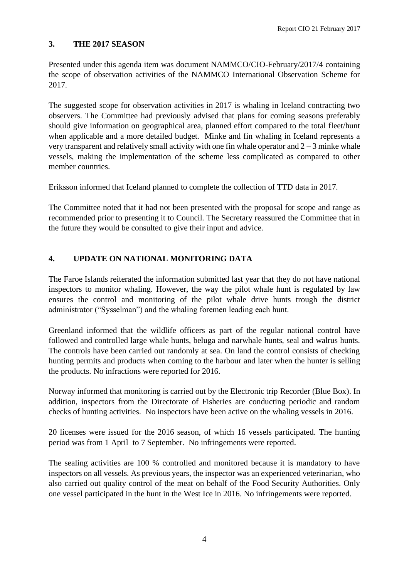## **3. THE 2017 SEASON**

Presented under this agenda item was document NAMMCO/CIO-February/2017/4 containing the scope of observation activities of the NAMMCO International Observation Scheme for 2017.

The suggested scope for observation activities in 2017 is whaling in Iceland contracting two observers. The Committee had previously advised that plans for coming seasons preferably should give information on geographical area, planned effort compared to the total fleet/hunt when applicable and a more detailed budget. Minke and fin whaling in Iceland represents a very transparent and relatively small activity with one fin whale operator and  $2 - 3$  minke whale vessels, making the implementation of the scheme less complicated as compared to other member countries.

Eriksson informed that Iceland planned to complete the collection of TTD data in 2017.

The Committee noted that it had not been presented with the proposal for scope and range as recommended prior to presenting it to Council. The Secretary reassured the Committee that in the future they would be consulted to give their input and advice.

# **4. UPDATE ON NATIONAL MONITORING DATA**

The Faroe Islands reiterated the information submitted last year that they do not have national inspectors to monitor whaling. However, the way the pilot whale hunt is regulated by law ensures the control and monitoring of the pilot whale drive hunts trough the district administrator ("Sysselman") and the whaling foremen leading each hunt.

Greenland informed that the wildlife officers as part of the regular national control have followed and controlled large whale hunts, beluga and narwhale hunts, seal and walrus hunts. The controls have been carried out randomly at sea. On land the control consists of checking hunting permits and products when coming to the harbour and later when the hunter is selling the products. No infractions were reported for 2016.

Norway informed that monitoring is carried out by the Electronic trip Recorder (Blue Box). In addition, inspectors from the Directorate of Fisheries are conducting periodic and random checks of hunting activities. No inspectors have been active on the whaling vessels in 2016.

20 licenses were issued for the 2016 season, of which 16 vessels participated. The hunting period was from 1 April to 7 September. No infringements were reported.

The sealing activities are 100 % controlled and monitored because it is mandatory to have inspectors on all vessels. As previous years, the inspector was an experienced veterinarian, who also carried out quality control of the meat on behalf of the Food Security Authorities. Only one vessel participated in the hunt in the West Ice in 2016. No infringements were reported.